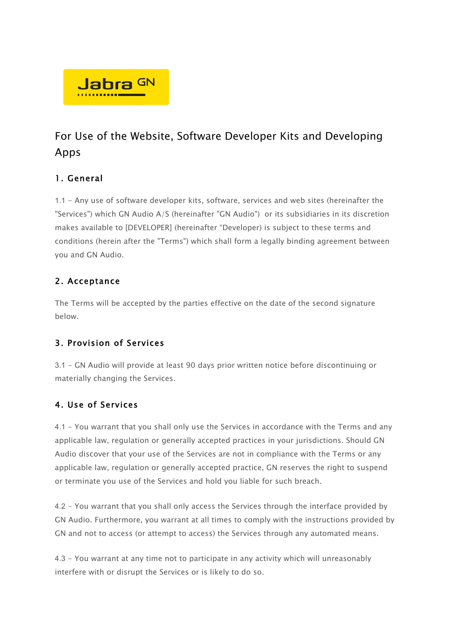

# For Use of the Website, Software Developer Kits and Developing Apps

## 1. General

1.1 - Any use of software developer kits, software, services and web sites (hereinafter the "Services") which GN Audio A/S (hereinafter "GN Audio") or its subsidiaries in its discretion makes available to [DEVELOPER] (hereinafter "Developer) is subject to these terms and conditions (herein after the "Terms") which shall form a legally binding agreement between you and GN Audio.

## 2. Acceptance

The Terms will be accepted by the parties effective on the date of the second signature below.

## 3. Provision of Services

3.1 - GN Audio will provide at least 90 days prior written notice before discontinuing or materially changing the Services.

## 4. Use of Services

4.1 - You warrant that you shall only use the Services in accordance with the Terms and any applicable law, regulation or generally accepted practices in your jurisdictions. Should GN Audio discover that your use of the Services are not in compliance with the Terms or any applicable law, regulation or generally accepted practice, GN reserves the right to suspend or terminate you use of the Services and hold you liable for such breach.

4.2 - You warrant that you shall only access the Services through the interface provided by GN Audio. Furthermore, you warrant at all times to comply with the instructions provided by GN and not to access (or attempt to access) the Services through any automated means.

4.3 - You warrant at any time not to participate in any activity which will unreasonably interfere with or disrupt the Services or is likely to do so.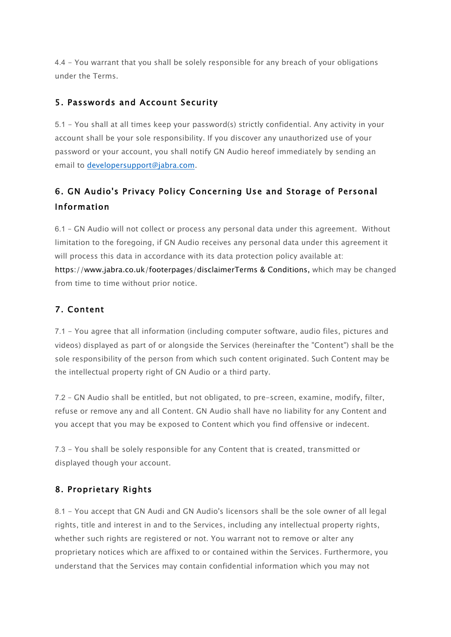4.4 - You warrant that you shall be solely responsible for any breach of your obligations under the Terms.

#### 5. Passwords and Account Security

5.1 - You shall at all times keep your password(s) strictly confidential. Any activity in your account shall be your sole responsibility. If you discover any unauthorized use of your password or your account, you shall notify GN Audio hereof immediately by sending an email to developersupport@jabra.com.

## 6. GN Audio's Privacy Policy Concerning Use and Storage of Personal Information

6.1 – GN Audio will not collect or process any personal data under this agreement. Without limitation to the foregoing, if GN Audio receives any personal data under this agreement it will process this data in accordance with its data protection policy available at: https://www.jabra.co.uk/footerpages/disclaimerTerms & Conditions, which may be changed from time to time without prior notice.

#### 7. Content

7.1 - You agree that all information (including computer software, audio files, pictures and videos) displayed as part of or alongside the Services (hereinafter the "Content") shall be the sole responsibility of the person from which such content originated. Such Content may be the intellectual property right of GN Audio or a third party.

7.2 – GN Audio shall be entitled, but not obligated, to pre-screen, examine, modify, filter, refuse or remove any and all Content. GN Audio shall have no liability for any Content and you accept that you may be exposed to Content which you find offensive or indecent.

7.3 - You shall be solely responsible for any Content that is created, transmitted or displayed though your account.

#### 8. Proprietary Rights

8.1 - You accept that GN Audi and GN Audio's licensors shall be the sole owner of all legal rights, title and interest in and to the Services, including any intellectual property rights, whether such rights are registered or not. You warrant not to remove or alter any proprietary notices which are affixed to or contained within the Services. Furthermore, you understand that the Services may contain confidential information which you may not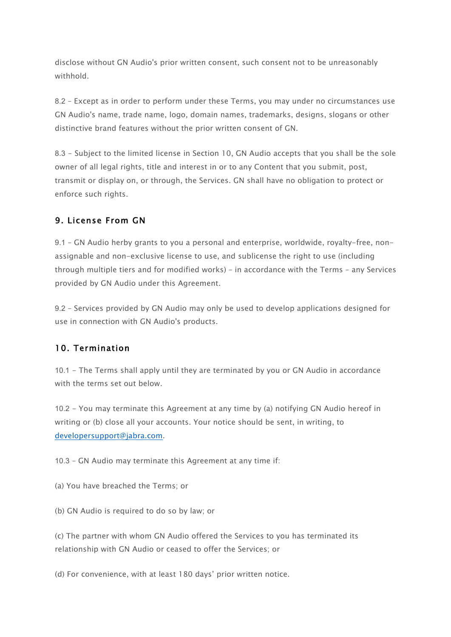disclose without GN Audio's prior written consent, such consent not to be unreasonably withhold.

8.2 – Except as in order to perform under these Terms, you may under no circumstances use GN Audio's name, trade name, logo, domain names, trademarks, designs, slogans or other distinctive brand features without the prior written consent of GN.

8.3 - Subject to the limited license in Section 10, GN Audio accepts that you shall be the sole owner of all legal rights, title and interest in or to any Content that you submit, post, transmit or display on, or through, the Services. GN shall have no obligation to protect or enforce such rights.

#### 9. License From GN

9.1 – GN Audio herby grants to you a personal and enterprise, worldwide, royalty-free, nonassignable and non-exclusive license to use, and sublicense the right to use (including through multiple tiers and for modified works) – in accordance with the Terms – any Services provided by GN Audio under this Agreement.

9.2 – Services provided by GN Audio may only be used to develop applications designed for use in connection with GN Audio's products.

#### 10. Termination

10.1 - The Terms shall apply until they are terminated by you or GN Audio in accordance with the terms set out below.

10.2 - You may terminate this Agreement at any time by (a) notifying GN Audio hereof in writing or (b) close all your accounts. Your notice should be sent, in writing, to developersupport@jabra.com.

10.3 – GN Audio may terminate this Agreement at any time if:

(a) You have breached the Terms; or

(b) GN Audio is required to do so by law; or

(c) The partner with whom GN Audio offered the Services to you has terminated its relationship with GN Audio or ceased to offer the Services; or

(d) For convenience, with at least 180 days' prior written notice.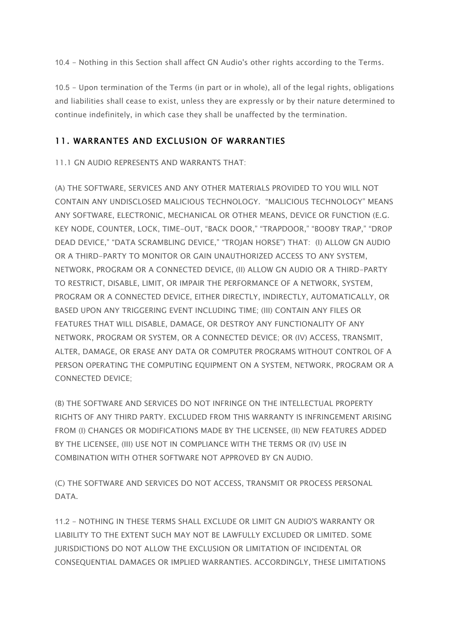10.4 - Nothing in this Section shall affect GN Audio's other rights according to the Terms.

10.5 - Upon termination of the Terms (in part or in whole), all of the legal rights, obligations and liabilities shall cease to exist, unless they are expressly or by their nature determined to continue indefinitely, in which case they shall be unaffected by the termination.

#### 11. WARRANTES AND EXCLUSION OF WARRANTIES

11.1 GN AUDIO REPRESENTS AND WARRANTS THAT:

(A) THE SOFTWARE, SERVICES AND ANY OTHER MATERIALS PROVIDED TO YOU WILL NOT CONTAIN ANY UNDISCLOSED MALICIOUS TECHNOLOGY. "MALICIOUS TECHNOLOGY" MEANS ANY SOFTWARE, ELECTRONIC, MECHANICAL OR OTHER MEANS, DEVICE OR FUNCTION (E.G. KEY NODE, COUNTER, LOCK, TIME-OUT, "BACK DOOR," "TRAPDOOR," "BOOBY TRAP," "DROP DEAD DEVICE," "DATA SCRAMBLING DEVICE," "TROJAN HORSE") THAT: (I) ALLOW GN AUDIO OR A THIRD-PARTY TO MONITOR OR GAIN UNAUTHORIZED ACCESS TO ANY SYSTEM, NETWORK, PROGRAM OR A CONNECTED DEVICE, (II) ALLOW GN AUDIO OR A THIRD-PARTY TO RESTRICT, DISABLE, LIMIT, OR IMPAIR THE PERFORMANCE OF A NETWORK, SYSTEM, PROGRAM OR A CONNECTED DEVICE, EITHER DIRECTLY, INDIRECTLY, AUTOMATICALLY, OR BASED UPON ANY TRIGGERING EVENT INCLUDING TIME; (III) CONTAIN ANY FILES OR FEATURES THAT WILL DISABLE, DAMAGE, OR DESTROY ANY FUNCTIONALITY OF ANY NETWORK, PROGRAM OR SYSTEM, OR A CONNECTED DEVICE; OR (IV) ACCESS, TRANSMIT, ALTER, DAMAGE, OR ERASE ANY DATA OR COMPUTER PROGRAMS WITHOUT CONTROL OF A PERSON OPERATING THE COMPUTING EQUIPMENT ON A SYSTEM, NETWORK, PROGRAM OR A CONNECTED DEVICE;

(B) THE SOFTWARE AND SERVICES DO NOT INFRINGE ON THE INTELLECTUAL PROPERTY RIGHTS OF ANY THIRD PARTY. EXCLUDED FROM THIS WARRANTY IS INFRINGEMENT ARISING FROM (I) CHANGES OR MODIFICATIONS MADE BY THE LICENSEE, (II) NEW FEATURES ADDED BY THE LICENSEE, (III) USE NOT IN COMPLIANCE WITH THE TERMS OR (IV) USE IN COMBINATION WITH OTHER SOFTWARE NOT APPROVED BY GN AUDIO.

(C) THE SOFTWARE AND SERVICES DO NOT ACCESS, TRANSMIT OR PROCESS PERSONAL DATA.

11.2 - NOTHING IN THESE TERMS SHALL EXCLUDE OR LIMIT GN AUDIO'S WARRANTY OR LIABILITY TO THE EXTENT SUCH MAY NOT BE LAWFULLY EXCLUDED OR LIMITED. SOME JURISDICTIONS DO NOT ALLOW THE EXCLUSION OR LIMITATION OF INCIDENTAL OR CONSEQUENTIAL DAMAGES OR IMPLIED WARRANTIES. ACCORDINGLY, THESE LIMITATIONS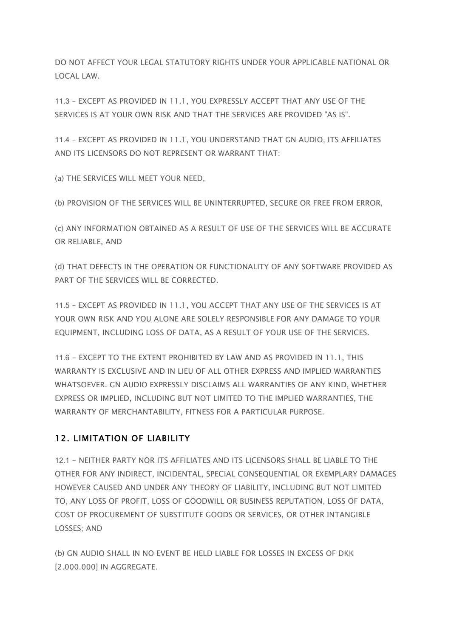DO NOT AFFECT YOUR LEGAL STATUTORY RIGHTS UNDER YOUR APPLICABLE NATIONAL OR LOCAL LAW.

11.3 – EXCEPT AS PROVIDED IN 11.1, YOU EXPRESSLY ACCEPT THAT ANY USE OF THE SERVICES IS AT YOUR OWN RISK AND THAT THE SERVICES ARE PROVIDED "AS IS".

11.4 – EXCEPT AS PROVIDED IN 11.1, YOU UNDERSTAND THAT GN AUDIO, ITS AFFILIATES AND ITS LICENSORS DO NOT REPRESENT OR WARRANT THAT:

(a) THE SERVICES WILL MEET YOUR NEED,

(b) PROVISION OF THE SERVICES WILL BE UNINTERRUPTED, SECURE OR FREE FROM ERROR,

(c) ANY INFORMATION OBTAINED AS A RESULT OF USE OF THE SERVICES WILL BE ACCURATE OR RELIABLE, AND

(d) THAT DEFECTS IN THE OPERATION OR FUNCTIONALITY OF ANY SOFTWARE PROVIDED AS PART OF THE SERVICES WILL BE CORRECTED.

11.5 – EXCEPT AS PROVIDED IN 11.1, YOU ACCEPT THAT ANY USE OF THE SERVICES IS AT YOUR OWN RISK AND YOU ALONE ARE SOLELY RESPONSIBLE FOR ANY DAMAGE TO YOUR EQUIPMENT, INCLUDING LOSS OF DATA, AS A RESULT OF YOUR USE OF THE SERVICES.

11.6 - EXCEPT TO THE EXTENT PROHIBITED BY LAW AND AS PROVIDED IN 11.1, THIS WARRANTY IS EXCLUSIVE AND IN LIEU OF ALL OTHER EXPRESS AND IMPLIED WARRANTIES WHATSOEVER. GN AUDIO EXPRESSLY DISCLAIMS ALL WARRANTIES OF ANY KIND, WHETHER EXPRESS OR IMPLIED, INCLUDING BUT NOT LIMITED TO THE IMPLIED WARRANTIES, THE WARRANTY OF MERCHANTABILITY, FITNESS FOR A PARTICULAR PURPOSE.

#### 12. LIMITATION OF LIABILITY

12.1 - NEITHER PARTY NOR ITS AFFILIATES AND ITS LICENSORS SHALL BE LIABLE TO THE OTHER FOR ANY INDIRECT, INCIDENTAL, SPECIAL CONSEQUENTIAL OR EXEMPLARY DAMAGES HOWEVER CAUSED AND UNDER ANY THEORY OF LIABILITY, INCLUDING BUT NOT LIMITED TO, ANY LOSS OF PROFIT, LOSS OF GOODWILL OR BUSINESS REPUTATION, LOSS OF DATA, COST OF PROCUREMENT OF SUBSTITUTE GOODS OR SERVICES, OR OTHER INTANGIBLE LOSSES; AND

(b) GN AUDIO SHALL IN NO EVENT BE HELD LIABLE FOR LOSSES IN EXCESS OF DKK [2.000.000] IN AGGREGATE.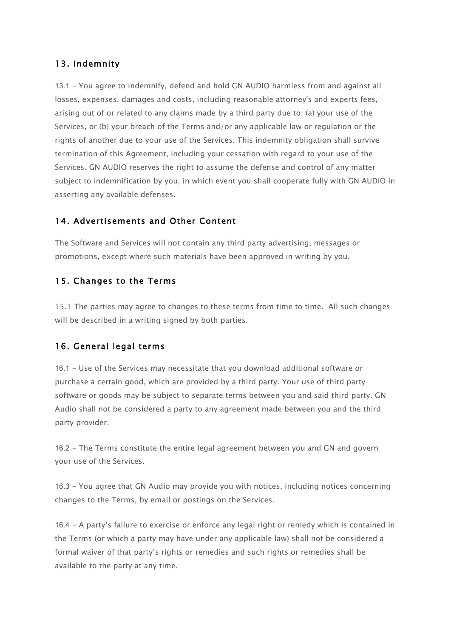#### 13. Indemnity

13.1 - You agree to indemnify, defend and hold GN AUDIO harmless from and against all losses, expenses, damages and costs, including reasonable attorney's and experts fees, arising out of or related to any claims made by a third party due to: (a) your use of the Services, or (b) your breach of the Terms and/or any applicable law or regulation or the rights of another due to your use of the Services. This indemnity obligation shall survive termination of this Agreement, including your cessation with regard to your use of the Services. GN AUDIO reserves the right to assume the defense and control of any matter subject to indemnification by you, in which event you shall cooperate fully with GN AUDIO in asserting any available defenses.

#### 14. Advertisements and Other Content

The Software and Services will not contain any third party advertising, messages or promotions, except where such materials have been approved in writing by you.

#### 15. Changes to the Terms

15.1 The parties may agree to changes to these terms from time to time. All such changes will be described in a writing signed by both parties.

#### 16. General legal terms

16.1 - Use of the Services may necessitate that you download additional software or purchase a certain good, which are provided by a third party. Your use of third party software or goods may be subject to separate terms between you and said third party. GN Audio shall not be considered a party to any agreement made between you and the third party provider.

16.2 - The Terms constitute the entire legal agreement between you and GN and govern your use of the Services.

16.3 - You agree that GN Audio may provide you with notices, including notices concerning changes to the Terms, by email or postings on the Services.

16.4 - A party's failure to exercise or enforce any legal right or remedy which is contained in the Terms (or which a party may have under any applicable law) shall not be considered a formal waiver of that party's rights or remedies and such rights or remedies shall be available to the party at any time.